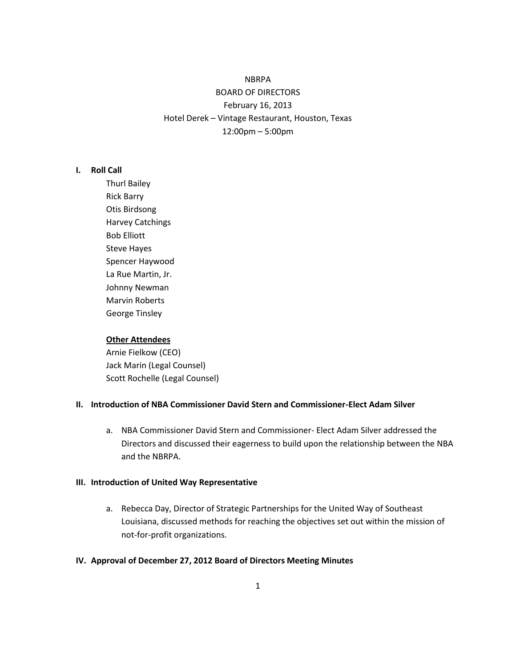# NBRPA BOARD OF DIRECTORS February 16, 2013 Hotel Derek – Vintage Restaurant, Houston, Texas 12:00pm – 5:00pm

#### **I. Roll Call**

Thurl Bailey Rick Barry Otis Birdsong Harvey Catchings Bob Elliott Steve Hayes Spencer Haywood La Rue Martin, Jr. Johnny Newman Marvin Roberts George Tinsley

#### **Other Attendees**

Arnie Fielkow (CEO) Jack Marin (Legal Counsel) Scott Rochelle (Legal Counsel)

#### **II. Introduction of NBA Commissioner David Stern and Commissioner-Elect Adam Silver**

a. NBA Commissioner David Stern and Commissioner- Elect Adam Silver addressed the Directors and discussed their eagerness to build upon the relationship between the NBA and the NBRPA.

#### **III. Introduction of United Way Representative**

a. Rebecca Day, Director of Strategic Partnerships for the United Way of Southeast Louisiana, discussed methods for reaching the objectives set out within the mission of not-for-profit organizations.

## **IV. Approval of December 27, 2012 Board of Directors Meeting Minutes**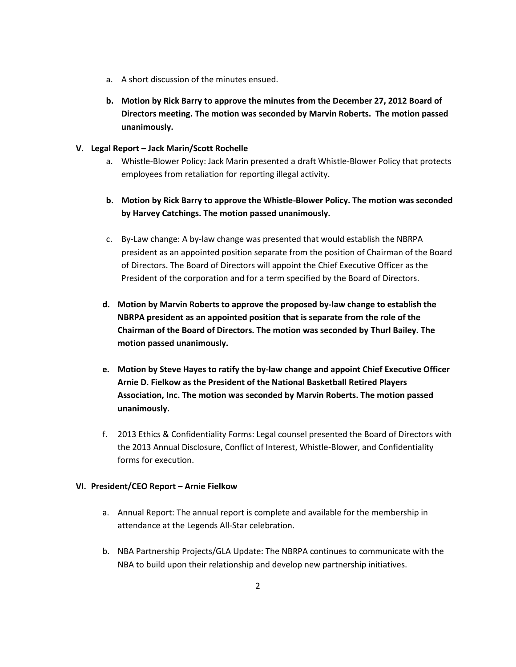- a. A short discussion of the minutes ensued.
- **b. Motion by Rick Barry to approve the minutes from the December 27, 2012 Board of Directors meeting. The motion was seconded by Marvin Roberts. The motion passed unanimously.**

## **V. Legal Report – Jack Marin/Scott Rochelle**

- a. Whistle-Blower Policy: Jack Marin presented a draft Whistle-Blower Policy that protects employees from retaliation for reporting illegal activity.
- **b. Motion by Rick Barry to approve the Whistle-Blower Policy. The motion was seconded by Harvey Catchings. The motion passed unanimously.**
- c. By-Law change: A by-law change was presented that would establish the NBRPA president as an appointed position separate from the position of Chairman of the Board of Directors. The Board of Directors will appoint the Chief Executive Officer as the President of the corporation and for a term specified by the Board of Directors.
- **d. Motion by Marvin Roberts to approve the proposed by-law change to establish the NBRPA president as an appointed position that is separate from the role of the Chairman of the Board of Directors. The motion was seconded by Thurl Bailey. The motion passed unanimously.**
- **e. Motion by Steve Hayes to ratify the by-law change and appoint Chief Executive Officer Arnie D. Fielkow as the President of the National Basketball Retired Players Association, Inc. The motion was seconded by Marvin Roberts. The motion passed unanimously.**
- f. 2013 Ethics & Confidentiality Forms: Legal counsel presented the Board of Directors with the 2013 Annual Disclosure, Conflict of Interest, Whistle-Blower, and Confidentiality forms for execution.

## **VI. President/CEO Report – Arnie Fielkow**

- a. Annual Report: The annual report is complete and available for the membership in attendance at the Legends All-Star celebration.
- b. NBA Partnership Projects/GLA Update: The NBRPA continues to communicate with the NBA to build upon their relationship and develop new partnership initiatives.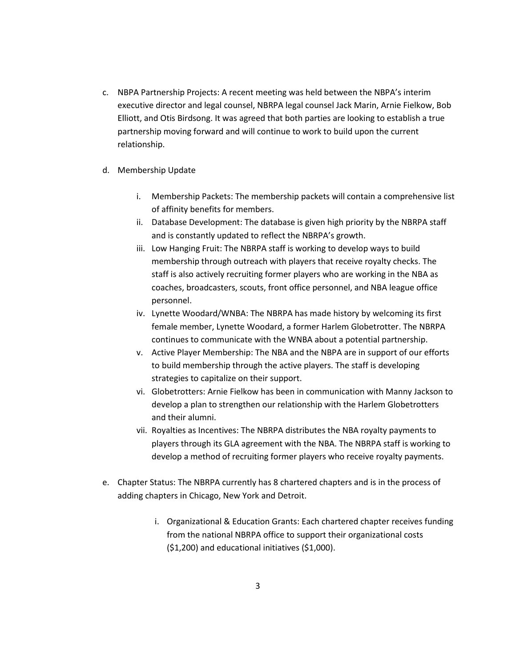- c. NBPA Partnership Projects: A recent meeting was held between the NBPA's interim executive director and legal counsel, NBRPA legal counsel Jack Marin, Arnie Fielkow, Bob Elliott, and Otis Birdsong. It was agreed that both parties are looking to establish a true partnership moving forward and will continue to work to build upon the current relationship.
- d. Membership Update
	- i. Membership Packets: The membership packets will contain a comprehensive list of affinity benefits for members.
	- ii. Database Development: The database is given high priority by the NBRPA staff and is constantly updated to reflect the NBRPA's growth.
	- iii. Low Hanging Fruit: The NBRPA staff is working to develop ways to build membership through outreach with players that receive royalty checks. The staff is also actively recruiting former players who are working in the NBA as coaches, broadcasters, scouts, front office personnel, and NBA league office personnel.
	- iv. Lynette Woodard/WNBA: The NBRPA has made history by welcoming its first female member, Lynette Woodard, a former Harlem Globetrotter. The NBRPA continues to communicate with the WNBA about a potential partnership.
	- v. Active Player Membership: The NBA and the NBPA are in support of our efforts to build membership through the active players. The staff is developing strategies to capitalize on their support.
	- vi. Globetrotters: Arnie Fielkow has been in communication with Manny Jackson to develop a plan to strengthen our relationship with the Harlem Globetrotters and their alumni.
	- vii. Royalties as Incentives: The NBRPA distributes the NBA royalty payments to players through its GLA agreement with the NBA. The NBRPA staff is working to develop a method of recruiting former players who receive royalty payments.
- e. Chapter Status: The NBRPA currently has 8 chartered chapters and is in the process of adding chapters in Chicago, New York and Detroit.
	- i. Organizational & Education Grants: Each chartered chapter receives funding from the national NBRPA office to support their organizational costs (\$1,200) and educational initiatives (\$1,000).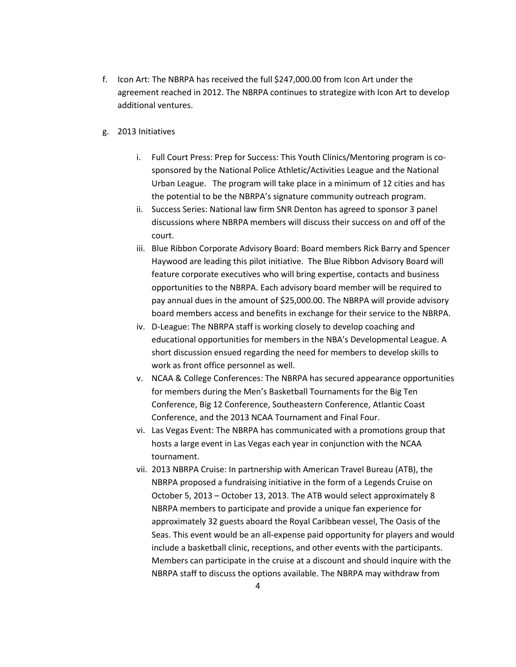- f. Icon Art: The NBRPA has received the full \$247,000.00 from Icon Art under the agreement reached in 2012. The NBRPA continues to strategize with Icon Art to develop additional ventures.
- g. 2013 Initiatives
	- i. Full Court Press: Prep for Success: This Youth Clinics/Mentoring program is cosponsored by the National Police Athletic/Activities League and the National Urban League. The program will take place in a minimum of 12 cities and has the potential to be the NBRPA's signature community outreach program.
	- ii. Success Series: National law firm SNR Denton has agreed to sponsor 3 panel discussions where NBRPA members will discuss their success on and off of the court.
	- iii. Blue Ribbon Corporate Advisory Board: Board members Rick Barry and Spencer Haywood are leading this pilot initiative. The Blue Ribbon Advisory Board will feature corporate executives who will bring expertise, contacts and business opportunities to the NBRPA. Each advisory board member will be required to pay annual dues in the amount of \$25,000.00. The NBRPA will provide advisory board members access and benefits in exchange for their service to the NBRPA.
	- iv. D-League: The NBRPA staff is working closely to develop coaching and educational opportunities for members in the NBA's Developmental League. A short discussion ensued regarding the need for members to develop skills to work as front office personnel as well.
	- v. NCAA & College Conferences: The NBRPA has secured appearance opportunities for members during the Men's Basketball Tournaments for the Big Ten Conference, Big 12 Conference, Southeastern Conference, Atlantic Coast Conference, and the 2013 NCAA Tournament and Final Four.
	- vi. Las Vegas Event: The NBRPA has communicated with a promotions group that hosts a large event in Las Vegas each year in conjunction with the NCAA tournament.
	- vii. 2013 NBRPA Cruise: In partnership with American Travel Bureau (ATB), the NBRPA proposed a fundraising initiative in the form of a Legends Cruise on October 5, 2013 – October 13, 2013. The ATB would select approximately 8 NBRPA members to participate and provide a unique fan experience for approximately 32 guests aboard the Royal Caribbean vessel, The Oasis of the Seas. This event would be an all-expense paid opportunity for players and would include a basketball clinic, receptions, and other events with the participants. Members can participate in the cruise at a discount and should inquire with the NBRPA staff to discuss the options available. The NBRPA may withdraw from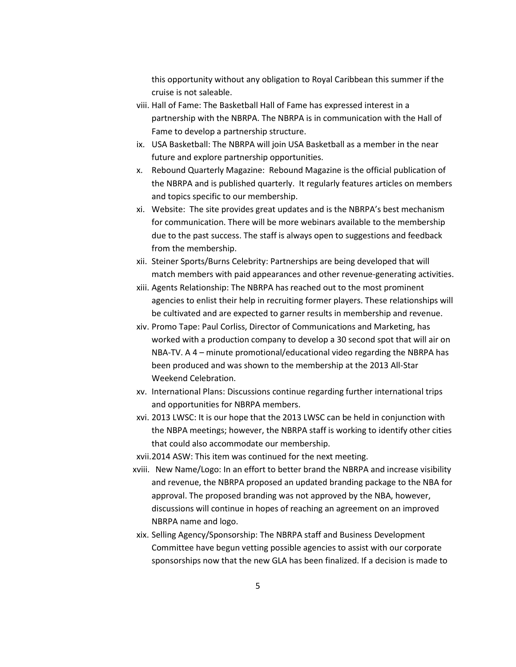this opportunity without any obligation to Royal Caribbean this summer if the cruise is not saleable.

- viii. Hall of Fame: The Basketball Hall of Fame has expressed interest in a partnership with the NBRPA. The NBRPA is in communication with the Hall of Fame to develop a partnership structure.
- ix. USA Basketball: The NBRPA will join USA Basketball as a member in the near future and explore partnership opportunities.
- x. Rebound Quarterly Magazine: Rebound Magazine is the official publication of the NBRPA and is published quarterly. It regularly features articles on members and topics specific to our membership.
- xi. Website: The site provides great updates and is the NBRPA's best mechanism for communication. There will be more webinars available to the membership due to the past success. The staff is always open to suggestions and feedback from the membership.
- xii. Steiner Sports/Burns Celebrity: Partnerships are being developed that will match members with paid appearances and other revenue-generating activities.
- xiii. Agents Relationship: The NBRPA has reached out to the most prominent agencies to enlist their help in recruiting former players. These relationships will be cultivated and are expected to garner results in membership and revenue.
- xiv. Promo Tape: Paul Corliss, Director of Communications and Marketing, has worked with a production company to develop a 30 second spot that will air on NBA-TV. A 4 – minute promotional/educational video regarding the NBRPA has been produced and was shown to the membership at the 2013 All-Star Weekend Celebration.
- xv. International Plans: Discussions continue regarding further international trips and opportunities for NBRPA members.
- xvi. 2013 LWSC: It is our hope that the 2013 LWSC can be held in conjunction with the NBPA meetings; however, the NBRPA staff is working to identify other cities that could also accommodate our membership.
- xvii.2014 ASW: This item was continued for the next meeting.
- xviii. New Name/Logo: In an effort to better brand the NBRPA and increase visibility and revenue, the NBRPA proposed an updated branding package to the NBA for approval. The proposed branding was not approved by the NBA, however, discussions will continue in hopes of reaching an agreement on an improved NBRPA name and logo.
- xix. Selling Agency/Sponsorship: The NBRPA staff and Business Development Committee have begun vetting possible agencies to assist with our corporate sponsorships now that the new GLA has been finalized. If a decision is made to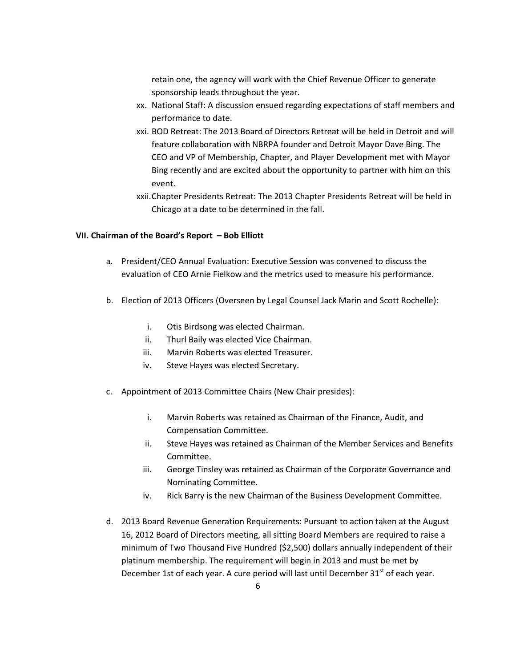retain one, the agency will work with the Chief Revenue Officer to generate sponsorship leads throughout the year.

- xx. National Staff: A discussion ensued regarding expectations of staff members and performance to date.
- xxi. BOD Retreat: The 2013 Board of Directors Retreat will be held in Detroit and will feature collaboration with NBRPA founder and Detroit Mayor Dave Bing. The CEO and VP of Membership, Chapter, and Player Development met with Mayor Bing recently and are excited about the opportunity to partner with him on this event.
- xxii.Chapter Presidents Retreat: The 2013 Chapter Presidents Retreat will be held in Chicago at a date to be determined in the fall.

### **VII. Chairman of the Board's Report – Bob Elliott**

- a. President/CEO Annual Evaluation: Executive Session was convened to discuss the evaluation of CEO Arnie Fielkow and the metrics used to measure his performance.
- b. Election of 2013 Officers (Overseen by Legal Counsel Jack Marin and Scott Rochelle):
	- i. Otis Birdsong was elected Chairman.
	- ii. Thurl Baily was elected Vice Chairman.
	- iii. Marvin Roberts was elected Treasurer.
	- iv. Steve Hayes was elected Secretary.
- c. Appointment of 2013 Committee Chairs (New Chair presides):
	- i. Marvin Roberts was retained as Chairman of the Finance, Audit, and Compensation Committee.
	- ii. Steve Hayes was retained as Chairman of the Member Services and Benefits Committee.
	- iii. George Tinsley was retained as Chairman of the Corporate Governance and Nominating Committee.
	- iv. Rick Barry is the new Chairman of the Business Development Committee.
- d. 2013 Board Revenue Generation Requirements: Pursuant to action taken at the August 16, 2012 Board of Directors meeting, all sitting Board Members are required to raise a minimum of Two Thousand Five Hundred (\$2,500) dollars annually independent of their platinum membership. The requirement will begin in 2013 and must be met by December 1st of each year. A cure period will last until December  $31<sup>st</sup>$  of each year.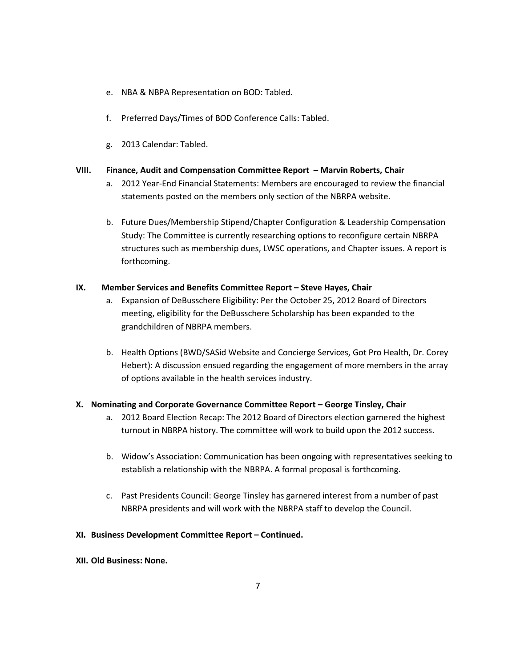- e. NBA & NBPA Representation on BOD: Tabled.
- f. Preferred Days/Times of BOD Conference Calls: Tabled.
- g. 2013 Calendar: Tabled.

## **VIII. Finance, Audit and Compensation Committee Report – Marvin Roberts, Chair**

- a. 2012 Year-End Financial Statements: Members are encouraged to review the financial statements posted on the members only section of the NBRPA website.
- b. Future Dues/Membership Stipend/Chapter Configuration & Leadership Compensation Study: The Committee is currently researching options to reconfigure certain NBRPA structures such as membership dues, LWSC operations, and Chapter issues. A report is forthcoming.

# **IX.** Member Services and Benefits Committee Report – Steve Hayes, Chair

- a. Expansion of DeBusschere Eligibility: Per the October 25, 2012 Board of Directors meeting, eligibility for the DeBusschere Scholarship has been expanded to the grandchildren of NBRPA members.
- b. Health Options (BWD/SASid Website and Concierge Services, Got Pro Health, Dr. Corey Hebert): A discussion ensued regarding the engagement of more members in the array of options available in the health services industry.

# **X. Nominating and Corporate Governance Committee Report – George Tinsley, Chair**

- a. 2012 Board Election Recap: The 2012 Board of Directors election garnered the highest turnout in NBRPA history. The committee will work to build upon the 2012 success.
- b. Widow's Association: Communication has been ongoing with representatives seeking to establish a relationship with the NBRPA. A formal proposal is forthcoming.
- c. Past Presidents Council: George Tinsley has garnered interest from a number of past NBRPA presidents and will work with the NBRPA staff to develop the Council.

# **XI. Business Development Committee Report – Continued.**

**XII. Old Business: None.**